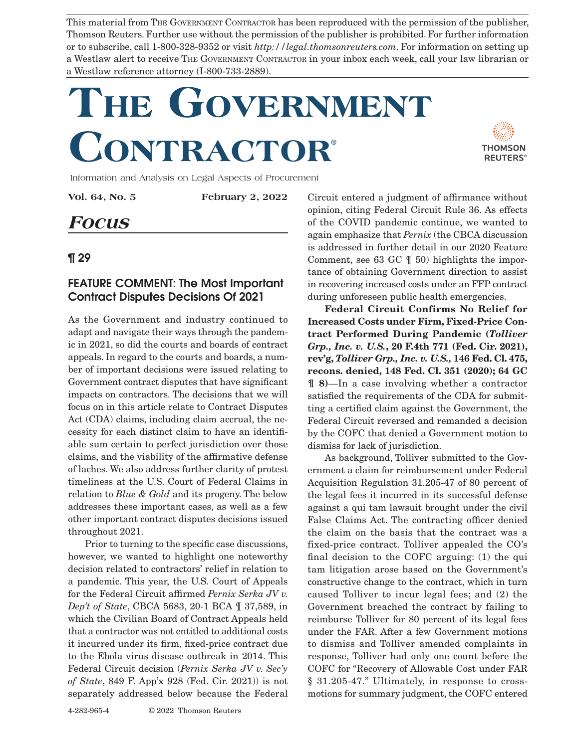This material from THE GOVERNMENT CONTRACTOR has been reproduced with the permission of the publisher, Thomson Reuters. Further use without the permission of the publisher is prohibited. For further information or to subscribe, call 1-800-328-9352 or visit *http://legal.thomsonreuters.com*. For information on setting up a Westlaw alert to receive The Government Contractor in your inbox each week, call your law librarian or a Westlaw reference attorney (I-800-733-2889).

## **The Government Contractor**®



Information and Analysis on Legal Aspects of Procurement

**Vol. 64, No. 5 February 2, 2022**

## **Focus**

## ¶ 29

## FEATURE COMMENT: The Most Important Contract Disputes Decisions Of 2021

As the Government and industry continued to adapt and navigate their ways through the pandemic in 2021, so did the courts and boards of contract appeals. In regard to the courts and boards, a number of important decisions were issued relating to Government contract disputes that have significant impacts on contractors. The decisions that we will focus on in this article relate to Contract Disputes Act (CDA) claims, including claim accrual, the necessity for each distinct claim to have an identifiable sum certain to perfect jurisdiction over those claims, and the viability of the affirmative defense of laches. We also address further clarity of protest timeliness at the U.S. Court of Federal Claims in relation to *Blue & Gold* and its progeny. The below addresses these important cases, as well as a few other important contract disputes decisions issued throughout 2021.

Prior to turning to the specific case discussions, however, we wanted to highlight one noteworthy decision related to contractors' relief in relation to a pandemic. This year, the U.S. Court of Appeals for the Federal Circuit affirmed *Pernix Serka JV v. Dep't of State*, CBCA 5683, 20-1 BCA ¶ 37,589, in which the Civilian Board of Contract Appeals held that a contractor was not entitled to additional costs it incurred under its firm, fixed-price contract due to the Ebola virus disease outbreak in 2014. This Federal Circuit decision (*Pernix Serka JV v. Sec'y of State*, 849 F. App'x 928 (Fed. Cir. 2021)) is not separately addressed below because the Federal

Circuit entered a judgment of affirmance without opinion, citing Federal Circuit Rule 36. As effects of the COVID pandemic continue, we wanted to again emphasize that *Pernix* (the CBCA discussion is addressed in further detail in our 2020 Feature Comment, see 63 GC ¶ 50) highlights the importance of obtaining Government direction to assist in recovering increased costs under an FFP contract during unforeseen public health emergencies.

**Federal Circuit Confirms No Relief for Increased Costs under Firm, Fixed-Price Contract Performed During Pandemic (***Tolliver Grp., Inc. v. U.S.***, 20 F.4th 771 (Fed. Cir. 2021), rev'g,** *Tolliver Grp., Inc. v. U.S.,* **146 Fed. Cl. 475, recons. denied, 148 Fed. Cl. 351 (2020); 64 GC ¶ 8)**—In a case involving whether a contractor satisfied the requirements of the CDA for submitting a certified claim against the Government, the Federal Circuit reversed and remanded a decision by the COFC that denied a Government motion to dismiss for lack of jurisdiction.

As background, Tolliver submitted to the Government a claim for reimbursement under Federal Acquisition Regulation 31.205-47 of 80 percent of the legal fees it incurred in its successful defense against a qui tam lawsuit brought under the civil False Claims Act. The contracting officer denied the claim on the basis that the contract was a fixed-price contract. Tolliver appealed the CO's final decision to the COFC arguing: (1) the qui tam litigation arose based on the Government's constructive change to the contract, which in turn caused Tolliver to incur legal fees; and (2) the Government breached the contract by failing to reimburse Tolliver for 80 percent of its legal fees under the FAR. After a few Government motions to dismiss and Tolliver amended complaints in response, Tolliver had only one count before the COFC for "Recovery of Allowable Cost under FAR § 31.205-47." Ultimately, in response to crossmotions for summary judgment, the COFC entered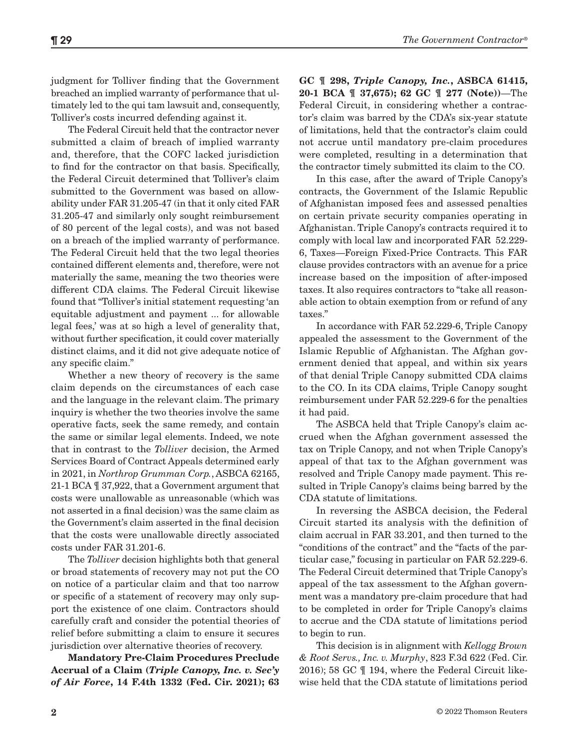judgment for Tolliver finding that the Government breached an implied warranty of performance that ultimately led to the qui tam lawsuit and, consequently, Tolliver's costs incurred defending against it.

The Federal Circuit held that the contractor never submitted a claim of breach of implied warranty and, therefore, that the COFC lacked jurisdiction to find for the contractor on that basis. Specifically, the Federal Circuit determined that Tolliver's claim submitted to the Government was based on allowability under FAR 31.205-47 (in that it only cited FAR 31.205-47 and similarly only sought reimbursement of 80 percent of the legal costs), and was not based on a breach of the implied warranty of performance. The Federal Circuit held that the two legal theories contained different elements and, therefore, were not materially the same, meaning the two theories were different CDA claims. The Federal Circuit likewise found that "Tolliver's initial statement requesting 'an equitable adjustment and payment ... for allowable legal fees,' was at so high a level of generality that, without further specification, it could cover materially distinct claims, and it did not give adequate notice of any specific claim."

Whether a new theory of recovery is the same claim depends on the circumstances of each case and the language in the relevant claim. The primary inquiry is whether the two theories involve the same operative facts, seek the same remedy, and contain the same or similar legal elements. Indeed, we note that in contrast to the *Tolliver* decision, the Armed Services Board of Contract Appeals determined early in 2021, in *Northrop Grumman Corp.*, ASBCA 62165, 21-1 BCA ¶ 37,922, that a Government argument that costs were unallowable as unreasonable (which was not asserted in a final decision) was the same claim as the Government's claim asserted in the final decision that the costs were unallowable directly associated costs under FAR 31.201-6.

The *Tolliver* decision highlights both that general or broad statements of recovery may not put the CO on notice of a particular claim and that too narrow or specific of a statement of recovery may only support the existence of one claim. Contractors should carefully craft and consider the potential theories of relief before submitting a claim to ensure it secures jurisdiction over alternative theories of recovery.

**Mandatory Pre-Claim Procedures Preclude Accrual of a Claim (***Triple Canopy, Inc. v. Sec'y of Air Force***, 14 F.4th 1332 (Fed. Cir. 2021); 63**  **GC ¶ 298,** *Triple Canopy, Inc.***, ASBCA 61415, 20-1 BCA ¶ 37,675); 62 GC ¶ 277 (Note))**—The Federal Circuit, in considering whether a contractor's claim was barred by the CDA's six-year statute of limitations, held that the contractor's claim could not accrue until mandatory pre-claim procedures were completed, resulting in a determination that the contractor timely submitted its claim to the CO.

In this case, after the award of Triple Canopy's contracts, the Government of the Islamic Republic of Afghanistan imposed fees and assessed penalties on certain private security companies operating in Afghanistan. Triple Canopy's contracts required it to comply with local law and incorporated FAR 52.229- 6, Taxes—Foreign Fixed-Price Contracts. This FAR clause provides contractors with an avenue for a price increase based on the imposition of after-imposed taxes. It also requires contractors to "take all reasonable action to obtain exemption from or refund of any taxes."

In accordance with FAR 52.229-6, Triple Canopy appealed the assessment to the Government of the Islamic Republic of Afghanistan. The Afghan government denied that appeal, and within six years of that denial Triple Canopy submitted CDA claims to the CO. In its CDA claims, Triple Canopy sought reimbursement under FAR 52.229-6 for the penalties it had paid.

The ASBCA held that Triple Canopy's claim accrued when the Afghan government assessed the tax on Triple Canopy, and not when Triple Canopy's appeal of that tax to the Afghan government was resolved and Triple Canopy made payment. This resulted in Triple Canopy's claims being barred by the CDA statute of limitations.

In reversing the ASBCA decision, the Federal Circuit started its analysis with the definition of claim accrual in FAR 33.201, and then turned to the "conditions of the contract" and the "facts of the particular case," focusing in particular on FAR 52.229-6. The Federal Circuit determined that Triple Canopy's appeal of the tax assessment to the Afghan government was a mandatory pre-claim procedure that had to be completed in order for Triple Canopy's claims to accrue and the CDA statute of limitations period to begin to run.

This decision is in alignment with *Kellogg Brown & Root Servs., Inc. v. Murphy*, 823 F.3d 622 (Fed. Cir. 2016); 58 GC ¶ 194, where the Federal Circuit likewise held that the CDA statute of limitations period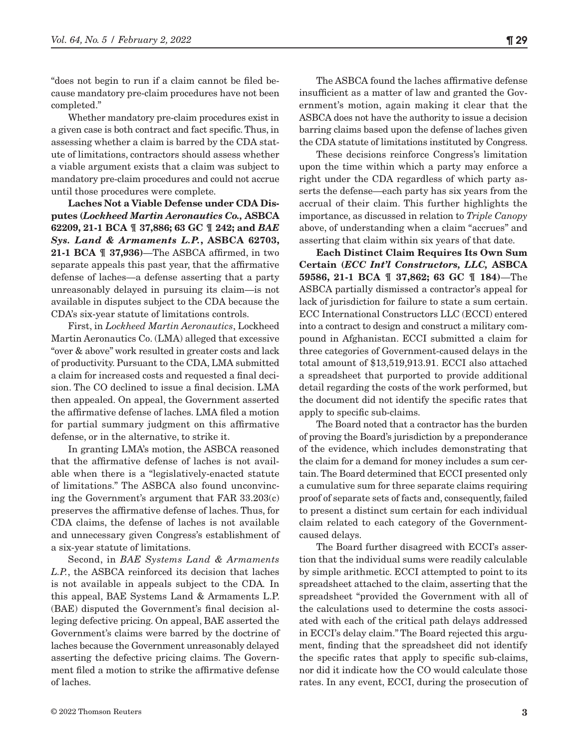"does not begin to run if a claim cannot be filed because mandatory pre-claim procedures have not been completed."

Whether mandatory pre-claim procedures exist in a given case is both contract and fact specific. Thus, in assessing whether a claim is barred by the CDA statute of limitations, contractors should assess whether a viable argument exists that a claim was subject to mandatory pre-claim procedures and could not accrue until those procedures were complete.

**Laches Not a Viable Defense under CDA Disputes (***Lockheed Martin Aeronautics Co.,* **ASBCA 62209, 21-1 BCA ¶ 37,886; 63 GC ¶ 242; and** *BAE Sys. Land & Armaments L.P.***, ASBCA 62703, 21-1 BCA ¶ 37,936)**—The ASBCA affirmed, in two separate appeals this past year, that the affirmative defense of laches—a defense asserting that a party unreasonably delayed in pursuing its claim—is not available in disputes subject to the CDA because the CDA's six-year statute of limitations controls.

First, in *Lockheed Martin Aeronautics*, Lockheed Martin Aeronautics Co. (LMA) alleged that excessive "over & above" work resulted in greater costs and lack of productivity. Pursuant to the CDA, LMA submitted a claim for increased costs and requested a final decision. The CO declined to issue a final decision. LMA then appealed. On appeal, the Government asserted the affirmative defense of laches. LMA filed a motion for partial summary judgment on this affirmative defense, or in the alternative, to strike it.

In granting LMA's motion, the ASBCA reasoned that the affirmative defense of laches is not available when there is a "legislatively-enacted statute of limitations." The ASBCA also found unconvincing the Government's argument that FAR 33.203(c) preserves the affirmative defense of laches. Thus, for CDA claims, the defense of laches is not available and unnecessary given Congress's establishment of a six-year statute of limitations.

Second, in *BAE Systems Land & Armaments L.P.*, the ASBCA reinforced its decision that laches is not available in appeals subject to the CDA*.* In this appeal, BAE Systems Land & Armaments L.P. (BAE) disputed the Government's final decision alleging defective pricing. On appeal, BAE asserted the Government's claims were barred by the doctrine of laches because the Government unreasonably delayed asserting the defective pricing claims. The Government filed a motion to strike the affirmative defense of laches.

The ASBCA found the laches affirmative defense insufficient as a matter of law and granted the Government's motion, again making it clear that the ASBCA does not have the authority to issue a decision barring claims based upon the defense of laches given the CDA statute of limitations instituted by Congress.

These decisions reinforce Congress's limitation upon the time within which a party may enforce a right under the CDA regardless of which party asserts the defense—each party has six years from the accrual of their claim. This further highlights the importance, as discussed in relation to *Triple Canopy* above, of understanding when a claim "accrues" and asserting that claim within six years of that date.

**Each Distinct Claim Requires Its Own Sum Certain (***ECC Int'l Constructors, LLC,* **ASBCA 59586, 21-1 BCA ¶ 37,862; 63 GC ¶ 184)**—The ASBCA partially dismissed a contractor's appeal for lack of jurisdiction for failure to state a sum certain. ECC International Constructors LLC (ECCI) entered into a contract to design and construct a military compound in Afghanistan. ECCI submitted a claim for three categories of Government-caused delays in the total amount of \$13,519,913.91. ECCI also attached a spreadsheet that purported to provide additional detail regarding the costs of the work performed, but the document did not identify the specific rates that apply to specific sub-claims.

The Board noted that a contractor has the burden of proving the Board's jurisdiction by a preponderance of the evidence, which includes demonstrating that the claim for a demand for money includes a sum certain. The Board determined that ECCI presented only a cumulative sum for three separate claims requiring proof of separate sets of facts and, consequently, failed to present a distinct sum certain for each individual claim related to each category of the Governmentcaused delays.

The Board further disagreed with ECCI's assertion that the individual sums were readily calculable by simple arithmetic. ECCI attempted to point to its spreadsheet attached to the claim, asserting that the spreadsheet "provided the Government with all of the calculations used to determine the costs associated with each of the critical path delays addressed in ECCI's delay claim." The Board rejected this argument, finding that the spreadsheet did not identify the specific rates that apply to specific sub-claims, nor did it indicate how the CO would calculate those rates. In any event, ECCI, during the prosecution of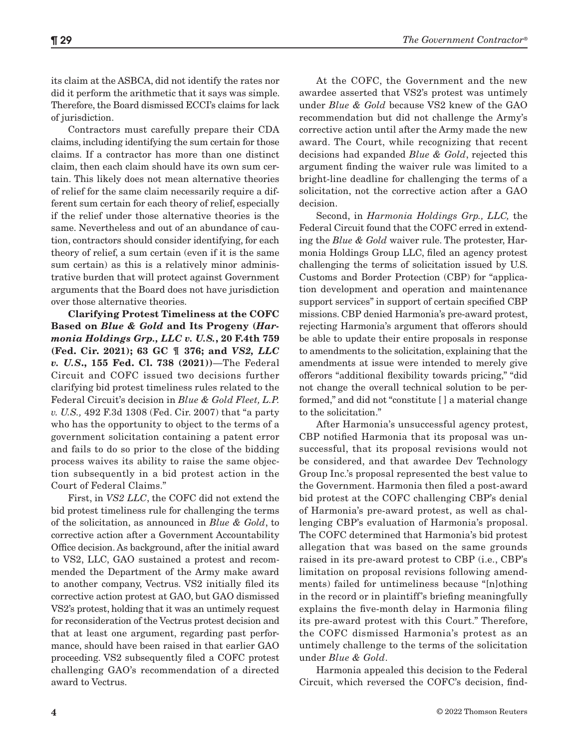its claim at the ASBCA, did not identify the rates nor did it perform the arithmetic that it says was simple. Therefore, the Board dismissed ECCI's claims for lack of jurisdiction.

Contractors must carefully prepare their CDA claims, including identifying the sum certain for those claims. If a contractor has more than one distinct claim, then each claim should have its own sum certain. This likely does not mean alternative theories of relief for the same claim necessarily require a different sum certain for each theory of relief, especially if the relief under those alternative theories is the same. Nevertheless and out of an abundance of caution, contractors should consider identifying, for each theory of relief, a sum certain (even if it is the same sum certain) as this is a relatively minor administrative burden that will protect against Government arguments that the Board does not have jurisdiction over those alternative theories.

**Clarifying Protest Timeliness at the COFC Based on** *Blue & Gold* **and Its Progeny (***Harmonia Holdings Grp., LLC v. U.S.***, 20 F.4th 759 (Fed. Cir. 2021); 63 GC ¶ 376; and** *VS2, LLC v. U.S***., 155 Fed. Cl. 738 (2021))**—The Federal Circuit and COFC issued two decisions further clarifying bid protest timeliness rules related to the Federal Circuit's decision in *Blue & Gold Fleet, L.P. v. U.S.,* 492 F.3d 1308 (Fed. Cir. 2007) that "a party who has the opportunity to object to the terms of a government solicitation containing a patent error and fails to do so prior to the close of the bidding process waives its ability to raise the same objection subsequently in a bid protest action in the Court of Federal Claims."

First, in *VS2 LLC*, the COFC did not extend the bid protest timeliness rule for challenging the terms of the solicitation, as announced in *Blue & Gold*, to corrective action after a Government Accountability Office decision. As background, after the initial award to VS2, LLC, GAO sustained a protest and recommended the Department of the Army make award to another company, Vectrus. VS2 initially filed its corrective action protest at GAO, but GAO dismissed VS2's protest, holding that it was an untimely request for reconsideration of the Vectrus protest decision and that at least one argument, regarding past performance, should have been raised in that earlier GAO proceeding. VS2 subsequently filed a COFC protest challenging GAO's recommendation of a directed award to Vectrus.

At the COFC, the Government and the new awardee asserted that VS2's protest was untimely under *Blue & Gold* because VS2 knew of the GAO recommendation but did not challenge the Army's corrective action until after the Army made the new award. The Court, while recognizing that recent decisions had expanded *Blue & Gold*, rejected this argument finding the waiver rule was limited to a bright-line deadline for challenging the terms of a solicitation, not the corrective action after a GAO decision.

Second, in *Harmonia Holdings Grp., LLC,* the Federal Circuit found that the COFC erred in extending the *Blue & Gold* waiver rule. The protester, Harmonia Holdings Group LLC, filed an agency protest challenging the terms of solicitation issued by U.S. Customs and Border Protection (CBP) for "application development and operation and maintenance support services" in support of certain specified CBP missions. CBP denied Harmonia's pre-award protest, rejecting Harmonia's argument that offerors should be able to update their entire proposals in response to amendments to the solicitation, explaining that the amendments at issue were intended to merely give offerors "additional flexibility towards pricing," "did not change the overall technical solution to be performed," and did not "constitute [ ] a material change to the solicitation."

After Harmonia's unsuccessful agency protest, CBP notified Harmonia that its proposal was unsuccessful, that its proposal revisions would not be considered, and that awardee Dev Technology Group Inc.'s proposal represented the best value to the Government. Harmonia then filed a post-award bid protest at the COFC challenging CBP's denial of Harmonia's pre-award protest, as well as challenging CBP's evaluation of Harmonia's proposal. The COFC determined that Harmonia's bid protest allegation that was based on the same grounds raised in its pre-award protest to CBP (i.e., CBP's limitation on proposal revisions following amendments) failed for untimeliness because "[n]othing in the record or in plaintiff's briefing meaningfully explains the five-month delay in Harmonia filing its pre-award protest with this Court." Therefore, the COFC dismissed Harmonia's protest as an untimely challenge to the terms of the solicitation under *Blue & Gold*.

Harmonia appealed this decision to the Federal Circuit, which reversed the COFC's decision, find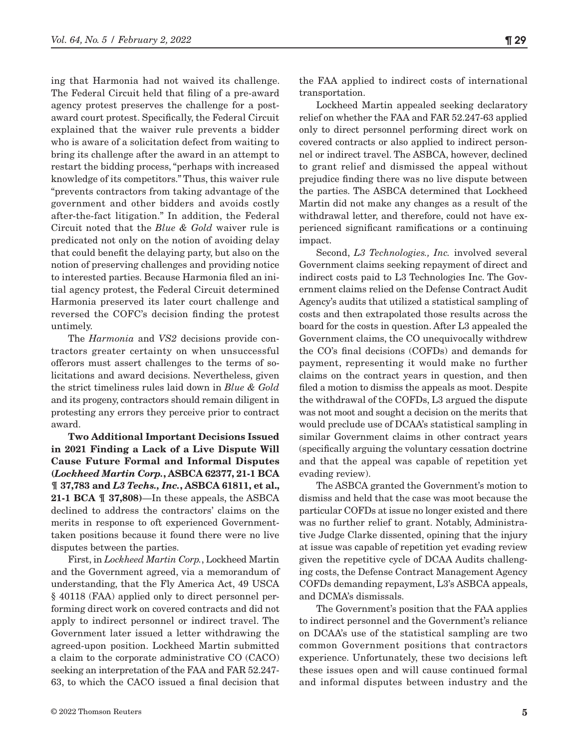ing that Harmonia had not waived its challenge. The Federal Circuit held that filing of a pre-award agency protest preserves the challenge for a postaward court protest. Specifically, the Federal Circuit explained that the waiver rule prevents a bidder who is aware of a solicitation defect from waiting to bring its challenge after the award in an attempt to restart the bidding process, "perhaps with increased knowledge of its competitors." Thus, this waiver rule "prevents contractors from taking advantage of the government and other bidders and avoids costly after-the-fact litigation." In addition, the Federal Circuit noted that the *Blue & Gold* waiver rule is predicated not only on the notion of avoiding delay that could benefit the delaying party, but also on the notion of preserving challenges and providing notice to interested parties. Because Harmonia filed an initial agency protest, the Federal Circuit determined Harmonia preserved its later court challenge and reversed the COFC's decision finding the protest untimely.

The *Harmonia* and *VS2* decisions provide contractors greater certainty on when unsuccessful offerors must assert challenges to the terms of solicitations and award decisions. Nevertheless, given the strict timeliness rules laid down in *Blue & Gold* and its progeny, contractors should remain diligent in protesting any errors they perceive prior to contract award.

**Two Additional Important Decisions Issued in 2021 Finding a Lack of a Live Dispute Will Cause Future Formal and Informal Disputes (***Lockheed Martin Corp.***, ASBCA 62377, 21-1 BCA ¶ 37,783 and** *L3 Techs., Inc.***, ASBCA 61811, et al., 21-1 BCA ¶ 37,808)**—In these appeals, the ASBCA declined to address the contractors' claims on the merits in response to oft experienced Governmenttaken positions because it found there were no live disputes between the parties.

First, in *Lockheed Martin Corp.*, Lockheed Martin and the Government agreed, via a memorandum of understanding, that the Fly America Act, 49 USCA § 40118 (FAA) applied only to direct personnel performing direct work on covered contracts and did not apply to indirect personnel or indirect travel. The Government later issued a letter withdrawing the agreed-upon position. Lockheed Martin submitted a claim to the corporate administrative CO (CACO) seeking an interpretation of the FAA and FAR 52.247- 63, to which the CACO issued a final decision that the FAA applied to indirect costs of international transportation.

Lockheed Martin appealed seeking declaratory relief on whether the FAA and FAR 52.247-63 applied only to direct personnel performing direct work on covered contracts or also applied to indirect personnel or indirect travel. The ASBCA, however, declined to grant relief and dismissed the appeal without prejudice finding there was no live dispute between the parties. The ASBCA determined that Lockheed Martin did not make any changes as a result of the withdrawal letter, and therefore, could not have experienced significant ramifications or a continuing impact.

Second, *L3 Technologies., Inc.* involved several Government claims seeking repayment of direct and indirect costs paid to L3 Technologies Inc. The Government claims relied on the Defense Contract Audit Agency's audits that utilized a statistical sampling of costs and then extrapolated those results across the board for the costs in question. After L3 appealed the Government claims, the CO unequivocally withdrew the CO's final decisions (COFDs) and demands for payment, representing it would make no further claims on the contract years in question, and then filed a motion to dismiss the appeals as moot. Despite the withdrawal of the COFDs, L3 argued the dispute was not moot and sought a decision on the merits that would preclude use of DCAA's statistical sampling in similar Government claims in other contract years (specifically arguing the voluntary cessation doctrine and that the appeal was capable of repetition yet evading review).

The ASBCA granted the Government's motion to dismiss and held that the case was moot because the particular COFDs at issue no longer existed and there was no further relief to grant. Notably, Administrative Judge Clarke dissented, opining that the injury at issue was capable of repetition yet evading review given the repetitive cycle of DCAA Audits challenging costs, the Defense Contract Management Agency COFDs demanding repayment, L3's ASBCA appeals, and DCMA's dismissals.

The Government's position that the FAA applies to indirect personnel and the Government's reliance on DCAA's use of the statistical sampling are two common Government positions that contractors experience. Unfortunately, these two decisions left these issues open and will cause continued formal and informal disputes between industry and the